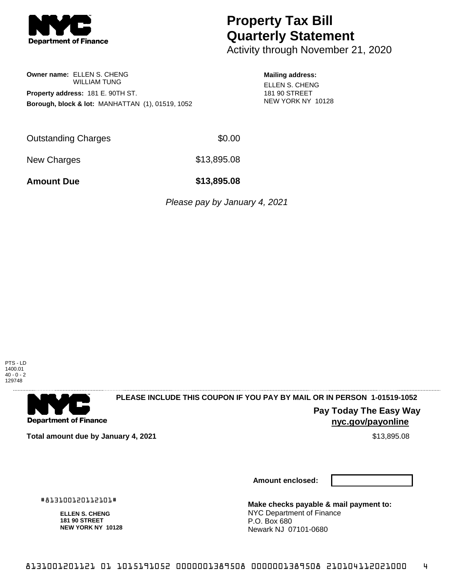

# **Property Tax Bill Quarterly Statement**

Activity through November 21, 2020

### **Owner name:** ELLEN S. CHENG WILLIAM TUNG **Property address:** 181 E. 90TH ST. **Borough, block & lot:** MANHATTAN (1), 01519, 1052

#### **Mailing address:**

ELLEN S. CHENG 181 90 STREET NEW YORK NY 10128

Outstanding Charges \$0.00

New Charges \$13,895.08

**Amount Due \$13,895.08**

Please pay by January 4, 2021

PTS - LD 1400.01  $40 - 0 - 2$ 129748



## **PLEASE INCLUDE THIS COUPON IF YOU PAY BY MAIL OR IN PERSON 1-01519-1052**

**Pay Today The Easy Way nyc.gov/payonline**

**Total amount due by January 4, 2021** \$13,895.08

#813100120112101#

**ELLEN S. CHENG 181 90 STREET NEW YORK NY 10128**

**Amount enclosed:**

**Make checks payable & mail payment to:** NYC Department of Finance P.O. Box 680 Newark NJ 07101-0680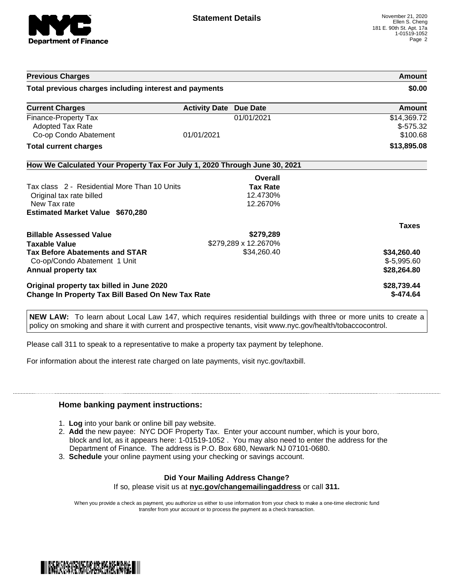

| <b>Previous Charges</b>                                                    |                               |                      | Amount                                |
|----------------------------------------------------------------------------|-------------------------------|----------------------|---------------------------------------|
| Total previous charges including interest and payments                     |                               |                      | \$0.00                                |
| <b>Current Charges</b>                                                     | <b>Activity Date Due Date</b> |                      | Amount                                |
| Finance-Property Tax<br>Adopted Tax Rate<br>Co-op Condo Abatement          | 01/01/2021                    | 01/01/2021           | \$14,369.72<br>$$-575.32$<br>\$100.68 |
| <b>Total current charges</b>                                               |                               |                      | \$13,895.08                           |
| How We Calculated Your Property Tax For July 1, 2020 Through June 30, 2021 |                               |                      |                                       |
|                                                                            |                               | Overall              |                                       |
| Tax class 2 - Residential More Than 10 Units                               |                               | <b>Tax Rate</b>      |                                       |
| Original tax rate billed                                                   |                               | 12.4730%             |                                       |
| New Tax rate<br><b>Estimated Market Value \$670,280</b>                    |                               | 12.2670%             |                                       |
|                                                                            |                               |                      | <b>Taxes</b>                          |
| <b>Billable Assessed Value</b>                                             |                               | \$279,289            |                                       |
| <b>Taxable Value</b>                                                       |                               | \$279,289 x 12.2670% |                                       |
| <b>Tax Before Abatements and STAR</b>                                      |                               | \$34,260.40          | \$34,260.40                           |
| Co-op/Condo Abatement 1 Unit                                               |                               |                      | $$-5,995.60$                          |
| Annual property tax                                                        |                               |                      | \$28,264.80                           |
| Original property tax billed in June 2020                                  |                               |                      | \$28,739.44                           |
| <b>Change In Property Tax Bill Based On New Tax Rate</b>                   |                               |                      | \$-474.64                             |

**NEW LAW:** To learn about Local Law 147, which requires residential buildings with three or more units to create a policy on smoking and share it with current and prospective tenants, visit www.nyc.gov/health/tobaccocontrol.

Please call 311 to speak to a representative to make a property tax payment by telephone.

For information about the interest rate charged on late payments, visit nyc.gov/taxbill.

#### **Home banking payment instructions:**

- 1. **Log** into your bank or online bill pay website.
- 2. **Add** the new payee: NYC DOF Property Tax. Enter your account number, which is your boro, block and lot, as it appears here: 1-01519-1052 . You may also need to enter the address for the Department of Finance. The address is P.O. Box 680, Newark NJ 07101-0680.
- 3. **Schedule** your online payment using your checking or savings account.

### **Did Your Mailing Address Change?**

If so, please visit us at **nyc.gov/changemailingaddress** or call **311.**

When you provide a check as payment, you authorize us either to use information from your check to make a one-time electronic fund transfer from your account or to process the payment as a check transaction.